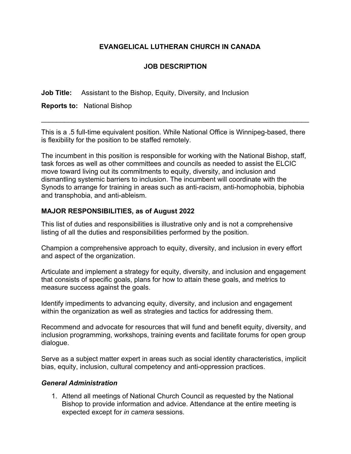# **EVANGELICAL LUTHERAN CHURCH IN CANADA**

# **JOB DESCRIPTION**

**Job Title:** Assistant to the Bishop, Equity, Diversity, and Inclusion

**Reports to:** National Bishop

This is a .5 full-time equivalent position. While National Office is Winnipeg-based, there is flexibility for the position to be staffed remotely.

 $\mathcal{L}_\text{max} = \mathcal{L}_\text{max} = \mathcal{L}_\text{max} = \mathcal{L}_\text{max} = \mathcal{L}_\text{max} = \mathcal{L}_\text{max} = \mathcal{L}_\text{max} = \mathcal{L}_\text{max} = \mathcal{L}_\text{max} = \mathcal{L}_\text{max} = \mathcal{L}_\text{max} = \mathcal{L}_\text{max} = \mathcal{L}_\text{max} = \mathcal{L}_\text{max} = \mathcal{L}_\text{max} = \mathcal{L}_\text{max} = \mathcal{L}_\text{max} = \mathcal{L}_\text{max} = \mathcal{$ 

The incumbent in this position is responsible for working with the National Bishop, staff, task forces as well as other committees and councils as needed to assist the ELCIC move toward living out its commitments to equity, diversity, and inclusion and dismantling systemic barriers to inclusion. The incumbent will coordinate with the Synods to arrange for training in areas such as anti-racism, anti-homophobia, biphobia and transphobia, and anti-ableism.

### **MAJOR RESPONSIBILITIES, as of August 2022**

This list of duties and responsibilities is illustrative only and is not a comprehensive listing of all the duties and responsibilities performed by the position.

Champion a comprehensive approach to equity, diversity, and inclusion in every effort and aspect of the organization.

Articulate and implement a strategy for equity, diversity, and inclusion and engagement that consists of specific goals, plans for how to attain these goals, and metrics to measure success against the goals.

Identify impediments to advancing equity, diversity, and inclusion and engagement within the organization as well as strategies and tactics for addressing them.

Recommend and advocate for resources that will fund and benefit equity, diversity, and inclusion programming, workshops, training events and facilitate forums for open group dialogue.

Serve as a subject matter expert in areas such as social identity characteristics, implicit bias, equity, inclusion, cultural competency and anti-oppression practices.

#### *General Administration*

1. Attend all meetings of National Church Council as requested by the National Bishop to provide information and advice. Attendance at the entire meeting is expected except for *in camera* sessions.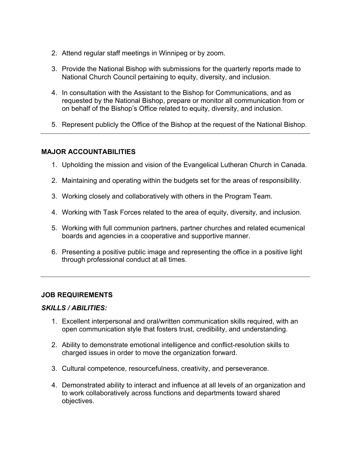- 2. Attend regular staff meetings in Winnipeg or by zoom.
- 3. Provide the National Bishop with submissions for the quarterly reports made to National Church Council pertaining to equity, diversity, and inclusion.
- 4. In consultation with the Assistant to the Bishop for Communications, and as requested by the National Bishop, prepare or monitor all communication from or on behalf of the Bishop's Office related to equity, diversity, and inclusion.
- 5. Represent publicly the Office of the Bishop at the request of the National Bishop.

### **MAJOR ACCOUNTABILITIES**

- 1. Upholding the mission and vision of the Evangelical Lutheran Church in Canada.
- 2. Maintaining and operating within the budgets set for the areas of responsibility.
- 3. Working closely and collaboratively with others in the Program Team.
- 4. Working with Task Forces related to the area of equity, diversity, and inclusion.
- 5. Working with full communion partners, partner churches and related ecumenical boards and agencies in a cooperative and supportive manner.
- 6. Presenting a positive public image and representing the office in a positive light through professional conduct at all times.

## **JOB REQUIREMENTS**

#### *SKILLS / ABILITIES:*

- 1. Excellent interpersonal and oral/written communication skills required, with an open communication style that fosters trust, credibility, and understanding.
- 2. Ability to demonstrate emotional intelligence and conflict-resolution skills to charged issues in order to move the organization forward.
- 3. Cultural competence, resourcefulness, creativity, and perseverance.
- 4. Demonstrated ability to interact and influence at all levels of an organization and to work collaboratively across functions and departments toward shared objectives.